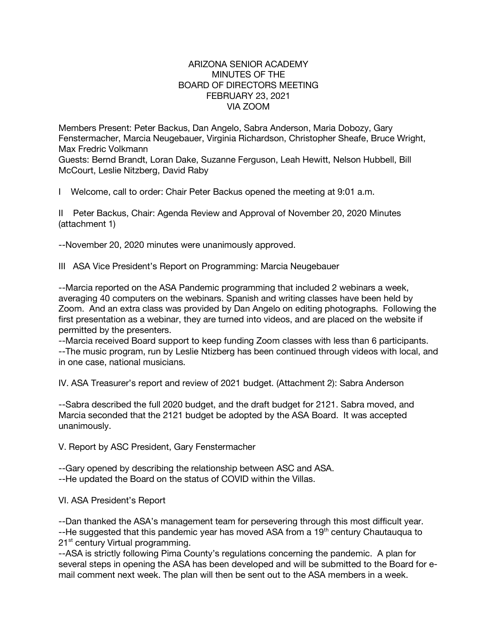### ARIZONA SENIOR ACADEMY MINUTES OF THE BOARD OF DIRECTORS MEETING FEBRUARY 23, 2021 VIA ZOOM

Members Present: Peter Backus, Dan Angelo, Sabra Anderson, Maria Dobozy, Gary Fenstermacher, Marcia Neugebauer, Virginia Richardson, Christopher Sheafe, Bruce Wright, Max Fredric Volkmann

Guests: Bernd Brandt, Loran Dake, Suzanne Ferguson, Leah Hewitt, Nelson Hubbell, Bill McCourt, Leslie Nitzberg, David Raby

I Welcome, call to order: Chair Peter Backus opened the meeting at 9:01 a.m.

II Peter Backus, Chair: Agenda Review and Approval of November 20, 2020 Minutes (attachment 1)

--November 20, 2020 minutes were unanimously approved.

III ASA Vice President's Report on Programming: Marcia Neugebauer

--Marcia reported on the ASA Pandemic programming that included 2 webinars a week, averaging 40 computers on the webinars. Spanish and writing classes have been held by Zoom. And an extra class was provided by Dan Angelo on editing photographs. Following the first presentation as a webinar, they are turned into videos, and are placed on the website if permitted by the presenters.

--Marcia received Board support to keep funding Zoom classes with less than 6 participants. --The music program, run by Leslie Ntizberg has been continued through videos with local, and in one case, national musicians.

IV. ASA Treasurer's report and review of 2021 budget. (Attachment 2): Sabra Anderson

--Sabra described the full 2020 budget, and the draft budget for 2121. Sabra moved, and Marcia seconded that the 2121 budget be adopted by the ASA Board. It was accepted unanimously.

V. Report by ASC President, Gary Fenstermacher

--Gary opened by describing the relationship between ASC and ASA.

--He updated the Board on the status of COVID within the Villas.

VI. ASA President's Report

--Dan thanked the ASA's management team for persevering through this most difficult year. --He suggested that this pandemic year has moved ASA from a 19<sup>th</sup> century Chautauqua to 21<sup>st</sup> century Virtual programming.

--ASA is strictly following Pima County's regulations concerning the pandemic. A plan for several steps in opening the ASA has been developed and will be submitted to the Board for email comment next week. The plan will then be sent out to the ASA members in a week.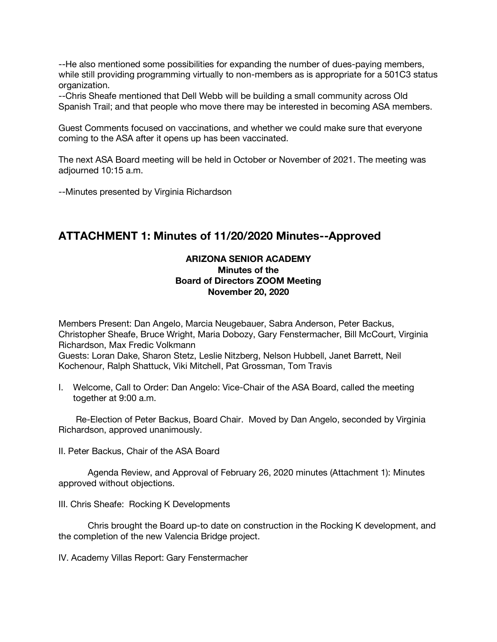--He also mentioned some possibilities for expanding the number of dues-paying members, while still providing programming virtually to non-members as is appropriate for a 501C3 status organization.

--Chris Sheafe mentioned that Dell Webb will be building a small community across Old Spanish Trail; and that people who move there may be interested in becoming ASA members.

Guest Comments focused on vaccinations, and whether we could make sure that everyone coming to the ASA after it opens up has been vaccinated.

The next ASA Board meeting will be held in October or November of 2021. The meeting was adjourned 10:15 a.m.

--Minutes presented by Virginia Richardson

# **ATTACHMENT 1: Minutes of 11/20/2020 Minutes--Approved**

## **ARIZONA SENIOR ACADEMY Minutes of the Board of Directors ZOOM Meeting November 20, 2020**

Members Present: Dan Angelo, Marcia Neugebauer, Sabra Anderson, Peter Backus, Christopher Sheafe, Bruce Wright, Maria Dobozy, Gary Fenstermacher, Bill McCourt, Virginia Richardson, Max Fredic Volkmann Guests: Loran Dake, Sharon Stetz, Leslie Nitzberg, Nelson Hubbell, Janet Barrett, Neil Kochenour, Ralph Shattuck, Viki Mitchell, Pat Grossman, Tom Travis

I. Welcome, Call to Order: Dan Angelo: Vice-Chair of the ASA Board, called the meeting together at 9:00 a.m.

 Re-Election of Peter Backus, Board Chair. Moved by Dan Angelo, seconded by Virginia Richardson, approved unanimously.

II. Peter Backus, Chair of the ASA Board

Agenda Review, and Approval of February 26, 2020 minutes (Attachment 1): Minutes approved without objections.

III. Chris Sheafe: Rocking K Developments

Chris brought the Board up-to date on construction in the Rocking K development, and the completion of the new Valencia Bridge project.

IV. Academy Villas Report: Gary Fenstermacher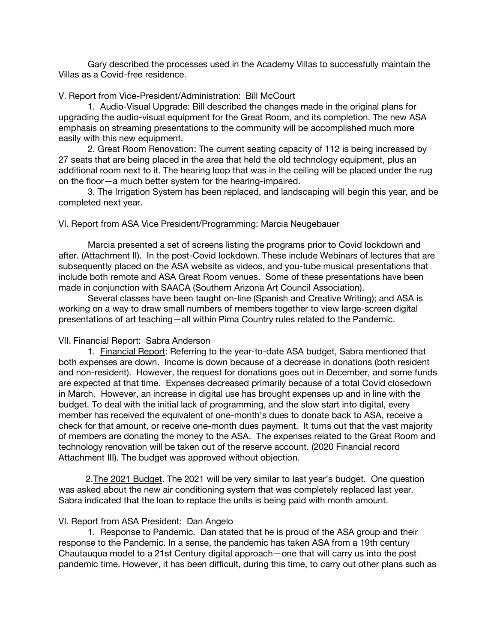Gary described the processes used in the Academy Villas to successfully maintain the Villas as a Covid-free residence.

#### V. Report from Vice-President/Administration: Bill McCourt

1. Audio-Visual Upgrade: Bill described the changes made in the original plans for upgrading the audio-visual equipment for the Great Room, and its completion. The new ASA emphasis on streaming presentations to the community will be accomplished much more easily with this new equipment.

2. Great Room Renovation: The current seating capacity of 112 is being increased by 27 seats that are being placed in the area that held the old technology equipment, plus an additional room next to it. The hearing loop that was in the ceiling will be placed under the rug on the floor—a much better system for the hearing-impaired.

3. The Irrigation System has been replaced, and landscaping will begin this year, and be completed next year.

#### VI. Report from ASA Vice President/Programming: Marcia Neugebauer

Marcia presented a set of screens listing the programs prior to Covid lockdown and after. (Attachment II). In the post-Covid lockdown. These include Webinars of lectures that are subsequently placed on the ASA website as videos, and you-tube musical presentations that include both remote and ASA Great Room venues. Some of these presentations have been made in conjunction with SAACA (Southern Arizona Art Council Association).

Several classes have been taught on-line (Spanish and Creative Writing); and ASA is working on a way to draw small numbers of members together to view large-screen digital presentations of art teaching—all within Pima Country rules related to the Pandemic.

#### VII. Financial Report: Sabra Anderson

1. Financial Report: Referring to the year-to-date ASA budget, Sabra mentioned that both expenses are down. Income is down because of a decrease in donations (both resident and non-resident). However, the request for donations goes out in December, and some funds are expected at that time. Expenses decreased primarily because of a total Covid closedown in March. However, an increase in digital use has brought expenses up and in line with the budget. To deal with the initial lack of programming, and the slow start into digital, every member has received the equivalent of one-month's dues to donate back to ASA, receive a check for that amount, or receive one-month dues payment. It turns out that the vast majority of members are donating the money to the ASA. The expenses related to the Great Room and technology renovation will be taken out of the reserve account. (2020 Financial record Attachment III). The budget was approved without objection.

 2.The 2021 Budget. The 2021 will be very similar to last year's budget. One question was asked about the new air conditioning system that was completely replaced last year. Sabra indicated that the loan to replace the units is being paid with month amount.

#### VI. Report from ASA President: Dan Angelo

1. Response to Pandemic. Dan stated that he is proud of the ASA group and their response to the Pandemic. In a sense, the pandemic has taken ASA from a 19th century Chautauqua model to a 21st Century digital approach—one that will carry us into the post pandemic time. However, it has been difficult, during this time, to carry out other plans such as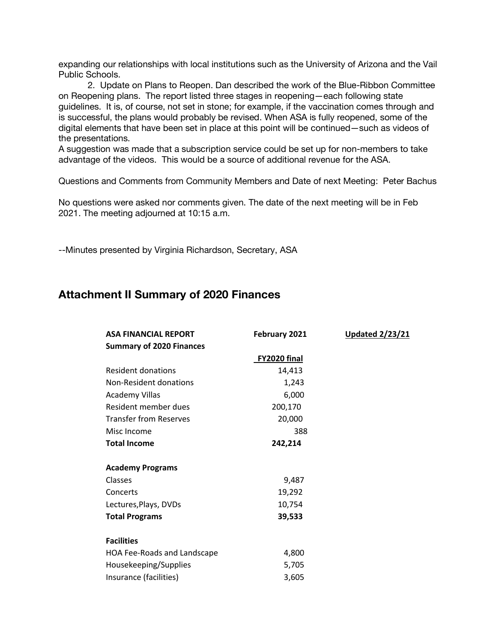expanding our relationships with local institutions such as the University of Arizona and the Vail Public Schools.

2. Update on Plans to Reopen. Dan described the work of the Blue-Ribbon Committee on Reopening plans. The report listed three stages in reopening—each following state guidelines. It is, of course, not set in stone; for example, if the vaccination comes through and is successful, the plans would probably be revised. When ASA is fully reopened, some of the digital elements that have been set in place at this point will be continued—such as videos of the presentations.

A suggestion was made that a subscription service could be set up for non-members to take advantage of the videos. This would be a source of additional revenue for the ASA.

Questions and Comments from Community Members and Date of next Meeting: Peter Bachus

No questions were asked nor comments given. The date of the next meeting will be in Feb 2021. The meeting adjourned at 10:15 a.m.

--Minutes presented by Virginia Richardson, Secretary, ASA

## **Attachment II Summary of 2020 Finances**

| <b>ASA FINANCIAL REPORT</b>     | February 2021 | <b>Updated 2/23/21</b> |
|---------------------------------|---------------|------------------------|
| <b>Summary of 2020 Finances</b> |               |                        |
|                                 | FY2020 final  |                        |
| Resident donations              | 14,413        |                        |
| Non-Resident donations          | 1,243         |                        |
| <b>Academy Villas</b>           | 6,000         |                        |
| Resident member dues            | 200,170       |                        |
| <b>Transfer from Reserves</b>   | 20,000        |                        |
| Misc Income                     | 388           |                        |
| <b>Total Income</b>             | 242,214       |                        |
| <b>Academy Programs</b>         |               |                        |
| Classes                         | 9,487         |                        |
| Concerts                        | 19,292        |                        |
| Lectures, Plays, DVDs           | 10,754        |                        |
| <b>Total Programs</b>           | 39,533        |                        |
| <b>Facilities</b>               |               |                        |
| HOA Fee-Roads and Landscape     | 4,800         |                        |
| Housekeeping/Supplies           | 5,705         |                        |
| Insurance (facilities)          | 3,605         |                        |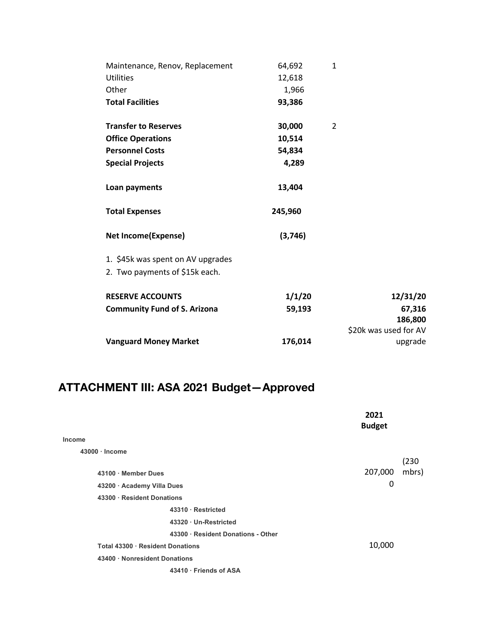| Maintenance, Renov, Replacement     | 64,692  | $\mathbf{1}$          |
|-------------------------------------|---------|-----------------------|
| <b>Utilities</b>                    | 12,618  |                       |
| Other                               | 1,966   |                       |
| <b>Total Facilities</b>             | 93,386  |                       |
| <b>Transfer to Reserves</b>         | 30,000  | 2                     |
| <b>Office Operations</b>            | 10,514  |                       |
| <b>Personnel Costs</b>              | 54,834  |                       |
| <b>Special Projects</b>             | 4,289   |                       |
| Loan payments                       | 13,404  |                       |
| <b>Total Expenses</b>               | 245,960 |                       |
| <b>Net Income(Expense)</b>          | (3,746) |                       |
| 1. \$45k was spent on AV upgrades   |         |                       |
| 2. Two payments of \$15k each.      |         |                       |
| <b>RESERVE ACCOUNTS</b>             | 1/1/20  | 12/31/20              |
| <b>Community Fund of S. Arizona</b> | 59,193  | 67,316                |
|                                     |         | 186,800               |
|                                     |         | \$20k was used for AV |
| <b>Vanguard Money Market</b>        | 176,014 | upgrade               |

# **ATTACHMENT III: ASA 2021 Budget—Approved**

|                                    | 2021<br><b>Budget</b> |
|------------------------------------|-----------------------|
| Income                             |                       |
| $43000 \cdot$ Income               |                       |
|                                    | (230)                 |
| 43100 · Member Dues                | mbrs)<br>207,000      |
| 43200 · Academy Villa Dues         | 0                     |
| 43300 · Resident Donations         |                       |
| 43310 · Restricted                 |                       |
| 43320 · Un-Restricted              |                       |
| 43300 · Resident Donations - Other |                       |
| Total 43300 · Resident Donations   | 10,000                |
| 43400 · Nonresident Donations      |                       |
| 43410 · Friends of ASA             |                       |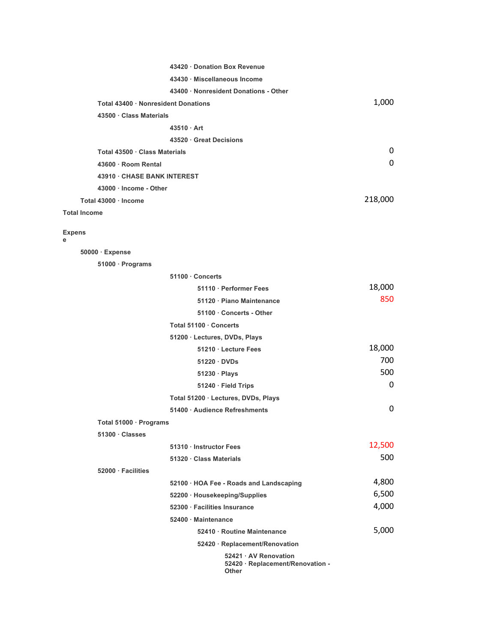|                                     | 43420 · Donation Box Revenue                                       |         |  |
|-------------------------------------|--------------------------------------------------------------------|---------|--|
|                                     | 43430 · Miscellaneous Income                                       |         |  |
|                                     | 43400 · Nonresident Donations - Other                              |         |  |
| Total 43400 · Nonresident Donations | 1,000                                                              |         |  |
| 43500 · Class Materials             |                                                                    |         |  |
|                                     | $43510 \cdot$ Art                                                  |         |  |
|                                     | 43520 Great Decisions                                              |         |  |
| Total 43500 · Class Materials       | 0                                                                  |         |  |
| 43600 · Room Rental                 |                                                                    | 0       |  |
| 43910 · CHASE BANK INTEREST         |                                                                    |         |  |
| 43000 · Income - Other              |                                                                    |         |  |
| Total 43000 · Income                |                                                                    | 218,000 |  |
| <b>Total Income</b>                 |                                                                    |         |  |
| <b>Expens</b><br>е                  |                                                                    |         |  |
| 50000 · Expense                     |                                                                    |         |  |
| 51000 · Programs                    |                                                                    |         |  |
|                                     | 51100 · Concerts                                                   |         |  |
|                                     | 51110 · Performer Fees                                             | 18,000  |  |
|                                     | 51120 · Piano Maintenance                                          | 850     |  |
|                                     | 51100 · Concerts - Other                                           |         |  |
|                                     | Total 51100 · Concerts                                             |         |  |
|                                     | 51200 · Lectures, DVDs, Plays                                      |         |  |
|                                     | 51210 · Lecture Fees                                               | 18,000  |  |
|                                     | $51220 \cdot DVDs$                                                 | 700     |  |
|                                     | $51230 \cdot$ Plays                                                | 500     |  |
|                                     | 51240 · Field Trips                                                | 0       |  |
|                                     | Total 51200 · Lectures, DVDs, Plays                                |         |  |
|                                     | 51400 · Audience Refreshments                                      | 0       |  |
| Total 51000 · Programs              |                                                                    |         |  |
| 51300 Classes                       |                                                                    |         |  |
|                                     | 51310 · Instructor Fees                                            | 12,500  |  |
|                                     | 51320 · Class Materials                                            | 500     |  |
| 52000 · Facilities                  |                                                                    |         |  |
|                                     | 52100 · HOA Fee - Roads and Landscaping                            | 4,800   |  |
|                                     | 52200 · Housekeeping/Supplies                                      | 6,500   |  |
|                                     | 52300 · Facilities Insurance                                       | 4,000   |  |
|                                     | 52400 · Maintenance                                                |         |  |
|                                     | 52410 · Routine Maintenance                                        | 5,000   |  |
|                                     | 52420 · Replacement/Renovation                                     |         |  |
|                                     | 52421 · AV Renovation<br>52420 · Replacement/Renovation -<br>Other |         |  |